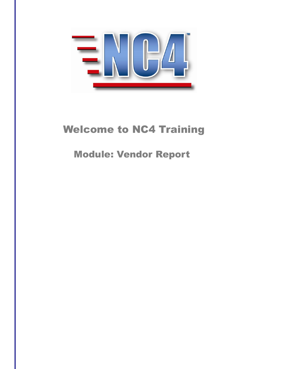

# Welcome to NC4 Training

Module: Vendor Report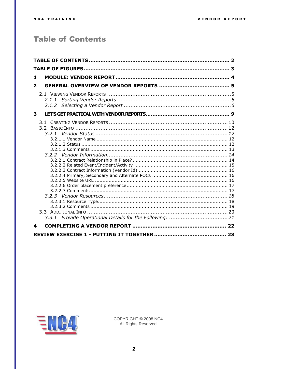### <span id="page-1-0"></span>**Table of Contents**

| 1            |  |
|--------------|--|
| $\mathbf{2}$ |  |
| 2.1.1        |  |
| 3            |  |
|              |  |
| 4            |  |
|              |  |

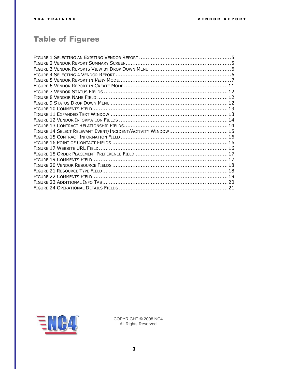## <span id="page-2-0"></span>Table of Figures

| FIGURE 14 SELECT RELEVANT EVENT/INCIDENT/ACTIVITY WINDOW 15 |  |
|-------------------------------------------------------------|--|
|                                                             |  |
|                                                             |  |
|                                                             |  |
|                                                             |  |
|                                                             |  |
|                                                             |  |
|                                                             |  |
|                                                             |  |
|                                                             |  |
|                                                             |  |

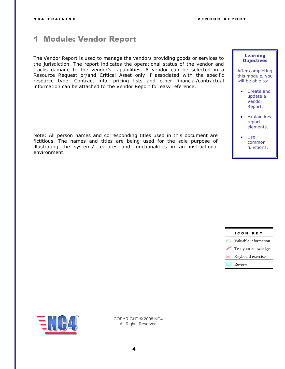### <span id="page-3-0"></span>1 Module: Vendor Report

The Vendor Report is used to manage the vendors providing goods or services to the jurisdiction. The report indicates the operational status of the vendor and tracks damage to the vendor's capabilities. A vendor can be selected in a Resource Request or/and Critical Asset only if associated with the specific resource type. Contract info, pricing lists and other financial/contractual information can be attached to the Vendor Report for easy reference.

Note: All person names and corresponding titles used in this document are fictitious. The names and titles are being used for the sole purpose of illustrating the systems' features and functionalities in an instructional environment.

#### **Learning Objectives**

- After completing this module, you will be able to:
	- Create and update a Vendor Report.
	- Explain key report elements.
	- Use common functions.

|   | ICON KEY             |
|---|----------------------|
|   | Valuable information |
|   | Test your knowledge  |
| ■ | Keyboard exercise    |
|   | <b>LA</b> Review     |
|   |                      |

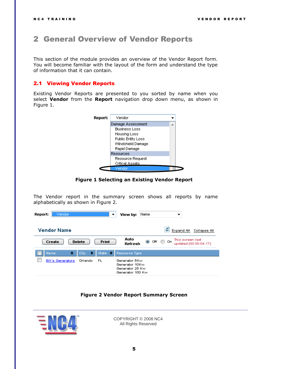### <span id="page-4-0"></span>2 General Overview of Vendor Reports

This section of the module provides an overview of the Vendor Report form. You will become familiar with the layout of the form and understand the type of information that it can contain.

#### <span id="page-4-1"></span>2.1 Viewing Vendor Reports

Existing Vendor Reports are presented to you sorted by name when you select **Vendor** from the **Report** navigation drop down menu, as shown in [Figure 1.](#page-4-2)



**Figure 1 Selecting an Existing Vendor Report**

<span id="page-4-2"></span>The Vendor report in the summary screen shows all reports by name alphabetically as shown in [Figure 2.](#page-4-3)

| Report:<br>Vendor<br>▼                        | Name<br>View by:                                                                                         |
|-----------------------------------------------|----------------------------------------------------------------------------------------------------------|
| Vendor Name                                   | ø<br>Collapse All<br>Expand All                                                                          |
| <b>Print</b><br><b>Delete</b><br>Create       | Auto<br>This screen last<br>$\circledcirc$ off $\circledcirc$<br>-On<br>Refresh<br>updated (00:00:04:17) |
| ٠<br>State $\Rightarrow$<br>City<br>٠<br>Name | Resource Type                                                                                            |
| <b>Bill's Generators</b><br>Orlando<br>FL.    | Generator 5Kw<br>Generator 10Kw<br>Generator 25 Kw<br>Generator 100 Kw                                   |

#### **Figure 2 Vendor Report Summary Screen**

<span id="page-4-3"></span>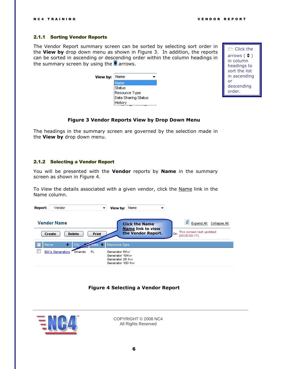#### <span id="page-5-0"></span>2.1.1 Sorting Vendor Reports

The Vendor Report summary screen can be sorted by selecting sort order in the **View by** drop down menu as shown in [Figure 3.](#page-5-2) In addition, the reports can be sorted in ascending or descending order within the column headings in the summary screen by using the  $\div$  arrows.

| View by: | Name                |
|----------|---------------------|
|          | vame                |
|          | Status              |
|          | Resource Type       |
|          | Data Sharing Status |
|          | History             |



#### **Figure 3 Vendor Reports View by Drop Down Menu**

<span id="page-5-2"></span>The headings in the summary screen are governed by the selection made in the **View by** drop down menu.

#### <span id="page-5-1"></span>2.1.2 Selecting a Vendor Report

You will be presented with the **Vendor** reports by **Name** in the summary screen as shown in [Figure 4.](#page-5-3)

To *View* the details associated with a given vendor, click the Name link in the Name column.

| Vendor<br>Report:                      | View by:<br>▼                                                                       | Name<br>▼                                                               |                                                                                     |
|----------------------------------------|-------------------------------------------------------------------------------------|-------------------------------------------------------------------------|-------------------------------------------------------------------------------------|
| Vendor Name<br><b>Delete</b><br>Create | <b>Print</b>                                                                        | <b>Click the Name</b><br><b>Name link to view</b><br>the Vendor Report. | е<br>Expand All<br>Collapse All<br>This screen last updated<br>On.<br>(00:00:00:17) |
| City<br>٠<br>Name                      | Resource Type                                                                       |                                                                         |                                                                                     |
| <b>Bill's Generators</b><br>Orlando    | <b>FL</b><br>Generator 5Kw<br>Generator 10Kw<br>Generator 25 Kw<br>Generator 100 Kw |                                                                         |                                                                                     |

#### **Figure 4 Selecting a Vendor Report**

<span id="page-5-3"></span>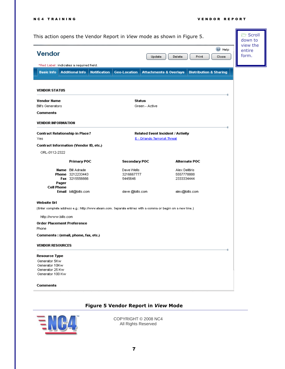| Vendor<br>*Red Label: indicates a required field.<br><b>Additional Info</b><br><b>Basic Info</b><br><b>VENDOR STATUS</b><br>Vendor Name<br><b>Bill's Generators</b><br>Comments<br><b>VENDOR INFORMATION</b> | <b>Notification</b> | <b>Geo-Location</b>      | Update<br><b>Attachments &amp; Overlays</b>                       | Delete<br>Print              | $\circledcirc$ Help<br>Close      | view the<br>entire<br>form. |
|--------------------------------------------------------------------------------------------------------------------------------------------------------------------------------------------------------------|---------------------|--------------------------|-------------------------------------------------------------------|------------------------------|-----------------------------------|-----------------------------|
|                                                                                                                                                                                                              |                     |                          |                                                                   |                              |                                   |                             |
|                                                                                                                                                                                                              |                     |                          |                                                                   |                              |                                   |                             |
|                                                                                                                                                                                                              |                     |                          |                                                                   |                              | <b>Distribution &amp; Sharing</b> |                             |
|                                                                                                                                                                                                              |                     |                          |                                                                   |                              |                                   |                             |
|                                                                                                                                                                                                              |                     |                          | Status                                                            |                              |                                   |                             |
|                                                                                                                                                                                                              |                     |                          | Green - Active                                                    |                              |                                   |                             |
|                                                                                                                                                                                                              |                     |                          |                                                                   |                              |                                   |                             |
|                                                                                                                                                                                                              |                     |                          |                                                                   |                              |                                   |                             |
| <b>Contract Relationship in Place?</b><br>Yes                                                                                                                                                                |                     |                          | Related Event Incident / Activity<br>E - Orlando Terrorist Threat |                              |                                   |                             |
| Contract Information (Vendor ID, etc.)                                                                                                                                                                       |                     |                          |                                                                   |                              |                                   |                             |
| ORL-0112-2322                                                                                                                                                                                                |                     |                          |                                                                   |                              |                                   |                             |
| <b>Primary POC</b>                                                                                                                                                                                           |                     | Secondary POC            |                                                                   | <b>Alternate POC</b>         |                                   |                             |
|                                                                                                                                                                                                              |                     |                          |                                                                   |                              |                                   |                             |
| <b>Name</b> Bill Adrade<br><b>Phone</b> 3212233443                                                                                                                                                           |                     | Dave Wells<br>3216667777 |                                                                   | Alex Delitiris<br>5557778888 |                                   |                             |
| Fax 3215556666                                                                                                                                                                                               |                     | 5445646                  |                                                                   | 2333334444                   |                                   |                             |
| Pager<br>Cell Phone                                                                                                                                                                                          |                     |                          |                                                                   |                              |                                   |                             |
| Email bill@bills.com                                                                                                                                                                                         |                     | dave @bills.com          |                                                                   | alex@bills.com               |                                   |                             |
| Website Url                                                                                                                                                                                                  |                     |                          |                                                                   |                              |                                   |                             |
| (Enter complete address e.g.: http://www.eteam.com. Separate entries with a comma or begin on a new line.)                                                                                                   |                     |                          |                                                                   |                              |                                   |                             |
| http://www.bills.com                                                                                                                                                                                         |                     |                          |                                                                   |                              |                                   |                             |
| Order Placement Preference                                                                                                                                                                                   |                     |                          |                                                                   |                              |                                   |                             |
| Phone                                                                                                                                                                                                        |                     |                          |                                                                   |                              |                                   |                             |
| Comments : (email, phone, fax, etc.)                                                                                                                                                                         |                     |                          |                                                                   |                              |                                   |                             |
| <b>VENDOR RESOURCES</b>                                                                                                                                                                                      |                     |                          |                                                                   |                              |                                   |                             |
| Resource Type                                                                                                                                                                                                |                     |                          |                                                                   |                              |                                   |                             |
| Generator 5Kw                                                                                                                                                                                                |                     |                          |                                                                   |                              |                                   |                             |
| Generator 10Kw<br>Generator 25 Kw                                                                                                                                                                            |                     |                          |                                                                   |                              |                                   |                             |
| Generator 100 Kw                                                                                                                                                                                             |                     |                          |                                                                   |                              |                                   |                             |
| Comments                                                                                                                                                                                                     |                     |                          |                                                                   |                              |                                   |                             |

### **Figure 5 Vendor Report in** *View* **Mode**

<span id="page-6-0"></span>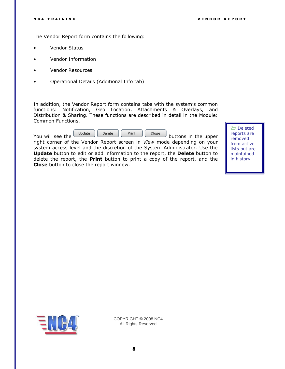The Vendor Report form contains the following:

- Vendor Status
- Vendor Information
- Vendor Resources
- Operational Details (Additional Info tab)

In addition, the Vendor Report form contains tabs with the system's common functions: Notification, Geo Location, Attachments & Overlays, and Distribution & Sharing. These functions are described in detail in the Module: Common Functions.

| You will see the | Update. | Delete | Print | Close | buttons in the upper |
|------------------|---------|--------|-------|-------|----------------------|
|                  |         |        |       |       |                      |

right corner of the Vendor Report screen in *View* mode depending on your system access level and the discretion of the System Administrator. Use the **Update** button to edit or add information to the report, the **Delete** button to delete the report, the **Print** button to print a copy of the report, and the **Close** button to close the report window.

 Deleted reports are removed from active lists but are maintained in history.

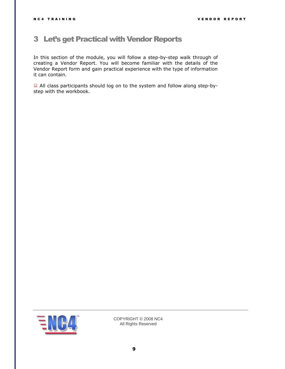### <span id="page-8-0"></span>3 Let's get Practical with Vendor Reports

In this section of the module, you will follow a step-by-step walk through of creating a Vendor Report. You will become familiar with the details of the Vendor Report form and gain practical experience with the type of information it can contain.

 All class participants should log on to the system and follow along step-bystep with the workbook.

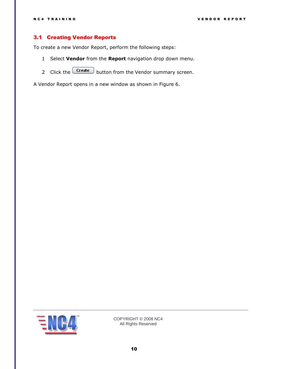#### <span id="page-9-0"></span>3.1 Creating Vendor Reports

To create a new Vendor Report, perform the following steps:

- 1 Select **Vendor** from the **Report** navigation drop down menu.
- 2 Click the  $\boxed{\text{Create}}$  button from the Vendor summary screen.

A Vendor Report opens in a new window as shown in [Figure](#page-10-0) 6.

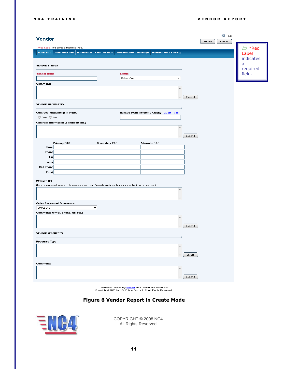| Submit<br>Cancel<br><b>≥ *Red</b><br>*Red Label: indicates a required field.<br><b>Additional Info</b><br><b>Notification</b><br><b>Geo-Location</b><br><b>Attachments &amp; Overlays</b><br><b>Distribution &amp; Sharing</b><br><b>Basic Info</b><br>Label<br>indicates<br>a<br><b>VENDOR STATUS</b><br>required<br>field.<br><b>Vendor Name</b><br><b>Status</b><br>Select One<br>۰<br>Comments<br>Expand<br><b>VENDOR INFORMATION</b> |
|-------------------------------------------------------------------------------------------------------------------------------------------------------------------------------------------------------------------------------------------------------------------------------------------------------------------------------------------------------------------------------------------------------------------------------------------|
|                                                                                                                                                                                                                                                                                                                                                                                                                                           |
|                                                                                                                                                                                                                                                                                                                                                                                                                                           |
|                                                                                                                                                                                                                                                                                                                                                                                                                                           |
|                                                                                                                                                                                                                                                                                                                                                                                                                                           |
|                                                                                                                                                                                                                                                                                                                                                                                                                                           |
|                                                                                                                                                                                                                                                                                                                                                                                                                                           |
|                                                                                                                                                                                                                                                                                                                                                                                                                                           |
|                                                                                                                                                                                                                                                                                                                                                                                                                                           |
|                                                                                                                                                                                                                                                                                                                                                                                                                                           |
|                                                                                                                                                                                                                                                                                                                                                                                                                                           |
|                                                                                                                                                                                                                                                                                                                                                                                                                                           |
|                                                                                                                                                                                                                                                                                                                                                                                                                                           |
| <b>Contract Relationship in Place?</b><br>Related Event Incident / Activity Select Clear                                                                                                                                                                                                                                                                                                                                                  |
| ◎ Yes ◎ No                                                                                                                                                                                                                                                                                                                                                                                                                                |
| Contract Information (Vendor ID, etc.)                                                                                                                                                                                                                                                                                                                                                                                                    |
|                                                                                                                                                                                                                                                                                                                                                                                                                                           |
|                                                                                                                                                                                                                                                                                                                                                                                                                                           |
| Expand                                                                                                                                                                                                                                                                                                                                                                                                                                    |
| Primary POC<br>Secondary POC<br><b>Alternate POC</b>                                                                                                                                                                                                                                                                                                                                                                                      |
| <b>Name</b>                                                                                                                                                                                                                                                                                                                                                                                                                               |
| Phone                                                                                                                                                                                                                                                                                                                                                                                                                                     |
| Fax                                                                                                                                                                                                                                                                                                                                                                                                                                       |
| Pager<br>Cell Phone                                                                                                                                                                                                                                                                                                                                                                                                                       |
| <b>Email</b>                                                                                                                                                                                                                                                                                                                                                                                                                              |
|                                                                                                                                                                                                                                                                                                                                                                                                                                           |
| Website Url                                                                                                                                                                                                                                                                                                                                                                                                                               |
| (Enter complete address e.g.: http://www.eteam.com. Separate entries with a comma or begin on a new line.)                                                                                                                                                                                                                                                                                                                                |
|                                                                                                                                                                                                                                                                                                                                                                                                                                           |
|                                                                                                                                                                                                                                                                                                                                                                                                                                           |
| Order Placement Preference                                                                                                                                                                                                                                                                                                                                                                                                                |
| Select One<br>▼                                                                                                                                                                                                                                                                                                                                                                                                                           |
| Comments (email, phone, fax, etc.)                                                                                                                                                                                                                                                                                                                                                                                                        |
|                                                                                                                                                                                                                                                                                                                                                                                                                                           |
| Expand                                                                                                                                                                                                                                                                                                                                                                                                                                    |
|                                                                                                                                                                                                                                                                                                                                                                                                                                           |
| <b>VENDOR RESOURCES</b>                                                                                                                                                                                                                                                                                                                                                                                                                   |
| <b>Resource Type</b>                                                                                                                                                                                                                                                                                                                                                                                                                      |
| $\lambda$                                                                                                                                                                                                                                                                                                                                                                                                                                 |
|                                                                                                                                                                                                                                                                                                                                                                                                                                           |
| Select                                                                                                                                                                                                                                                                                                                                                                                                                                    |
| Comments                                                                                                                                                                                                                                                                                                                                                                                                                                  |
| ×                                                                                                                                                                                                                                                                                                                                                                                                                                         |
|                                                                                                                                                                                                                                                                                                                                                                                                                                           |
| Expand                                                                                                                                                                                                                                                                                                                                                                                                                                    |

Document Created by: <u>content</u> on 10/03/2009 at 09:30 EST<br>Copyright © 2009 by NC4 Public Sector LLC, All Right*s* Reserved.

#### **Figure 6 Vendor Report in Create Mode**

<span id="page-10-0"></span>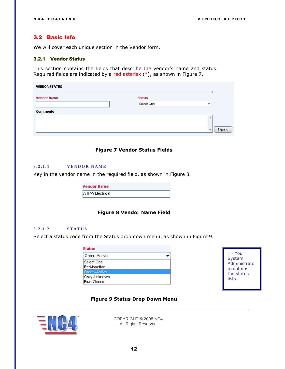#### <span id="page-11-0"></span>3.2 Basic Info

We will cover each unique section in the Vendor form.

#### <span id="page-11-1"></span>3.2.1 Vendor Status

This section contains the fields that describe the vendor's name and status. Required fields are indicated by a red asterisk (\*), as shown in [Figure 7.](#page-11-4)

| <b>VENDOR STATUS</b> |               |                         |
|----------------------|---------------|-------------------------|
| <b>Vendor Name</b>   | <b>Status</b> |                         |
|                      | Select One    | ▼                       |
| <b>Comments</b>      |               |                         |
|                      |               | 业                       |
|                      |               | Expand<br>$\overline{}$ |



#### <span id="page-11-4"></span><span id="page-11-2"></span>**3 . 2 . 1 . 1 V E N D O R N A M E**

Key in the vendor name in the required field, as shown in [Figure 8.](#page-11-5)

| <b>Vendor Name</b> |  |
|--------------------|--|
| A & W Electrical   |  |

#### **Figure 8 Vendor Name Field**

#### <span id="page-11-5"></span><span id="page-11-3"></span>**3 . 2 . 1 . 2 S T A T U S**

Select a status code from the Status drop down menu, as shown in [Figure 9.](#page-11-6)

| <b>Status</b>      |  |
|--------------------|--|
| Green-Active       |  |
| Select One         |  |
| Red-Inactive       |  |
| Green-Active       |  |
| Gray-Unknown       |  |
| <b>Blue-Closed</b> |  |



#### **Figure 9 Status Drop Down Menu**

<span id="page-11-6"></span>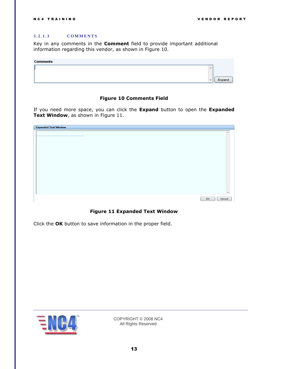#### <span id="page-12-0"></span>**3 . 2 . 1 . 3 C O M M E N T S**

Key in any comments in the **Comment** field to provide important additional information regarding this vendor, as shown in [Figure 10.](#page-12-1)

| Comments |        |        |
|----------|--------|--------|
|          |        |        |
|          |        |        |
|          | $\sim$ | Expand |
|          |        |        |

#### **Figure 10 Comments Field**

<span id="page-12-1"></span>If you need more space, you can click the **Expand** button to open the **Expanded Text Window**, as shown in [Figure 11.](#page-12-2)

| <b>Expanded Text Window</b> |              |
|-----------------------------|--------------|
|                             |              |
|                             |              |
|                             |              |
|                             |              |
|                             |              |
|                             |              |
|                             |              |
|                             |              |
|                             |              |
|                             |              |
|                             |              |
|                             |              |
|                             |              |
|                             | OK<br>Cancel |

#### **Figure 11 Expanded Text Window**

<span id="page-12-2"></span>Click the **OK** button to save information in the proper field.

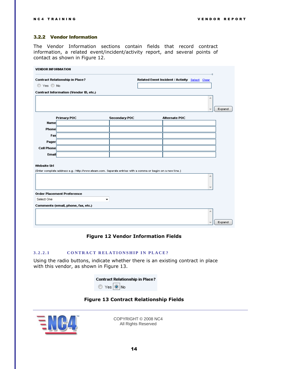#### <span id="page-13-0"></span>3.2.2 Vendor Information

The Vendor Information sections contain fields that record contract information, a related event/incident/activity report, and several points of contact as shown in [Figure 12.](#page-13-2)

| <b>VENDOR INFORMATION</b> |                                               |                                                                                                            |                                                |        |
|---------------------------|-----------------------------------------------|------------------------------------------------------------------------------------------------------------|------------------------------------------------|--------|
|                           | <b>Contract Relationship in Place?</b>        |                                                                                                            | Related Event Incident / Activity Select Clear |        |
| ◎ Yes ◎ No                |                                               |                                                                                                            |                                                |        |
|                           | <b>Contract Information (Vendor ID, etc.)</b> |                                                                                                            |                                                |        |
|                           |                                               |                                                                                                            |                                                | À.     |
|                           |                                               |                                                                                                            |                                                |        |
|                           |                                               |                                                                                                            |                                                | Expand |
|                           | <b>Primary POC</b>                            | Secondary POC                                                                                              | <b>Alternate POC</b>                           |        |
| <b>Name</b>               |                                               |                                                                                                            |                                                |        |
| <b>Phone</b>              |                                               |                                                                                                            |                                                |        |
| Fax                       |                                               |                                                                                                            |                                                |        |
| Pager                     |                                               |                                                                                                            |                                                |        |
| Cell Phone                |                                               |                                                                                                            |                                                |        |
| <b>Email</b>              |                                               |                                                                                                            |                                                |        |
|                           |                                               |                                                                                                            |                                                |        |
| Website Url               |                                               | (Enter complete address e.g.: http://www.eteam.com. Separate entries with a comma or begin on a new line.) |                                                |        |
|                           |                                               |                                                                                                            |                                                | ۸      |
|                           |                                               |                                                                                                            |                                                |        |
|                           |                                               |                                                                                                            |                                                |        |
|                           | <b>Order Placement Preference</b>             |                                                                                                            |                                                |        |
| Select One                |                                               | ▼                                                                                                          |                                                |        |
|                           | Comments (email, phone, fax, etc.)            |                                                                                                            |                                                |        |
|                           |                                               |                                                                                                            |                                                | ۸      |
|                           |                                               |                                                                                                            |                                                |        |
|                           |                                               |                                                                                                            |                                                | Expand |

#### **Figure 12 Vendor Information Fields**

#### <span id="page-13-2"></span><span id="page-13-1"></span>3.2.2.1 **CONTRACT RELATIONSHIP IN PLACE?**

Using the radio buttons, indicate whether there is an existing contract in place with this vendor, as shown in [Figure 13.](#page-13-3)

|                   | <b>Contract Relationship in Place?</b> |
|-------------------|----------------------------------------|
| ◎ Yes <u>◎</u> No |                                        |

#### **Figure 13 Contract Relationship Fields**

<span id="page-13-3"></span>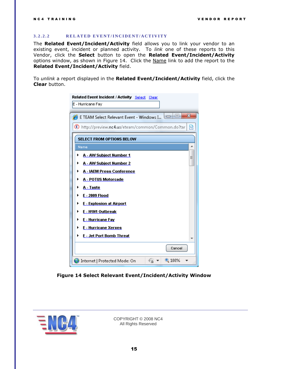#### <span id="page-14-0"></span>**3 . 2 . 2 . 2 R E L A T E D E V E N T /I N C I D E N T / A C T I V I T Y**

The **Related Event/Incident/Activity** field allows you to link your vendor to an existing event, incident or planned activity. To *link* one of these reports to this Vendor, click the **Select** button to open the **Related Event/Incident/Activity** options window, as shown in [Figure 14.](#page-14-1) Click the Name link to add the report to the **Related Event/Incident/Activity** field.

To *unlink* a report displayed in the **Related Event/Incident/Activity** field, click the **Clear** button.

| Related Event Incident / Activity Select Clear                       |   |
|----------------------------------------------------------------------|---|
| E - Hurricane Fay                                                    |   |
| $\mathbf{x}$<br>$\Box$ e<br>E TEAM Select Relevant Event - Windows I |   |
| ▩<br>(E) http://preview.nc4.us/eteam/common/Common.do?tar            |   |
| <b>SELECT FROM OPTIONS BELOW</b>                                     |   |
| Name                                                                 | ≛ |
| A - AW Subject Number 1<br>▶<br>Ξ                                    |   |
| A - AW Subject Number 2<br>▶                                         |   |
| A - IAEM Press Conference                                            |   |
| A - POTUS Motorcade<br>▶                                             |   |
| A - Taste<br>▶                                                       |   |
| <b>E-2009 Flood</b><br>▶                                             |   |
| <b>E</b> - Explosion at Airport<br>▶<br>E - H1N1 Outbreak<br>▶       |   |
| E - Hurricane Fay<br>▶                                               |   |
| E - Hurricane Xerxes<br>▶                                            |   |
| <b>E</b> - Jet Port Bomb Threat<br>▶                                 |   |
|                                                                      |   |
| Cancel                                                               |   |
| $\bigoplus$ 100%<br>Internet   Protected Mode: On                    |   |

<span id="page-14-1"></span>**Figure 14 Select Relevant Event/Incident/Activity Window**

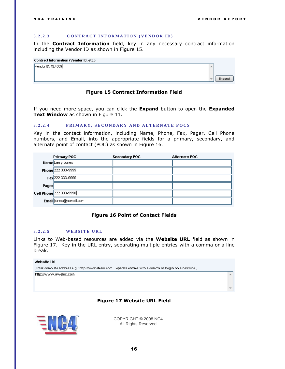ך

 $\Delta$ 

#### <span id="page-15-0"></span>**3.2.2.3 CONTRACT INFORMATION (VENDOR ID)**

In the **Contract Information** field, key in any necessary contract information including the Vendor ID as shown in [Figure 15.](#page-15-3)

|                   | <b>Contract Information (Vendor ID, etc.)</b> |        |
|-------------------|-----------------------------------------------|--------|
| Vendor ID: XL4009 |                                               |        |
|                   |                                               |        |
|                   |                                               | Expand |
|                   |                                               |        |

#### **Figure 15 Contract Information Field**

<span id="page-15-3"></span>If you need more space, you can click the **Expand** button to open the **Expanded Text Window** as shown in [Figure 11.](#page-12-2)

#### <span id="page-15-1"></span>3.2.2.4 PRIMARY, SECONDARY AND ALTERNATE POCS

Key in the contact information, including Name, Phone, Fax, Pager, Cell Phone numbers, and Email, into the appropriate fields for a primary, secondary, and alternate point of contact (POC) as shown in [Figure 16.](#page-15-4)

|       | <b>Primary POC</b>      | Secondary POC | <b>Alternate POC</b> |
|-------|-------------------------|---------------|----------------------|
|       | <b>Name</b> Larry Jones |               |                      |
|       | Phone 222 333-9999      |               |                      |
|       | Fax 222 333-9990        |               |                      |
| Pager |                         |               |                      |
|       | Cell Phone 222 333-9990 |               |                      |
|       | Email ijones@nomail.com |               |                      |

#### <span id="page-15-2"></span>**Figure 16 Point of Contact Fields**

#### <span id="page-15-4"></span>**3.2.2.5** WEBSITE URL

Links to Web-based resources are added via the **Website URL** field as shown in [Figure 17.](#page-15-5) Key in the URL entry, separating multiple entries with a comma or a line break.

#### Website Url

(Enter complete address e.g.: http://www.eteam.com. Separate entries with a comma or begin on a new line.)

http://www.awelec.com

#### **Figure 17 Website URL Field**

<span id="page-15-5"></span>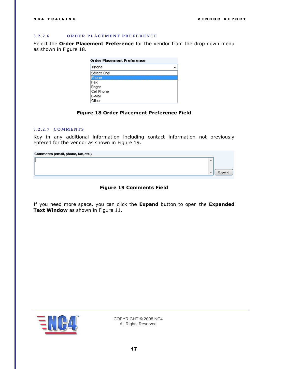A

Expand

#### <span id="page-16-0"></span>**3 . 2 . 2 . 6 O R D E R P L A C E M E N T P R E F E R E N C E**

Select the **Order Placement Preference** for the vendor from the drop down menu as shown in [Figure 18.](#page-16-2)

|                   | <b>Order Placement Preference</b> |
|-------------------|-----------------------------------|
| Phone             |                                   |
| Select One        |                                   |
| <sup>0</sup> hone |                                   |
| Fax               |                                   |
| Pager             |                                   |
| Cell Phone        |                                   |
| E-Mail            |                                   |
| Other             |                                   |

#### **Figure 18 Order Placement Preference Field**

#### <span id="page-16-2"></span><span id="page-16-1"></span>**3 . 2 . 2 . 7 C O M M E N T S**

Key in any additional information including contact information not previously entered for the vendor as shown in [Figure 19.](#page-16-3)

| Comments (email, phone, fax, etc.) |  |  |  |  |
|------------------------------------|--|--|--|--|
|------------------------------------|--|--|--|--|

<span id="page-16-3"></span>If you need more space, you can click the **Expand** button to open the **Expanded Text Window** as shown in [Figure 11.](#page-12-2)

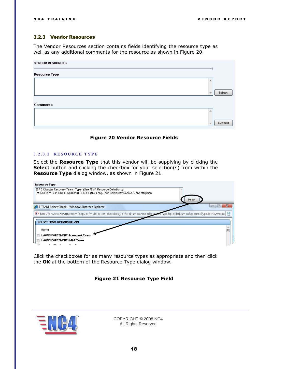#### <span id="page-17-0"></span>3.2.3 Vendor Resources

The Vendor Resources section contains fields identifying the resource type as well as any additional comments for the resource as shown in [Figure 20.](#page-17-2)

| <b>VENDOR RESOURCES</b> |                          |        |
|-------------------------|--------------------------|--------|
| <b>Resource Type</b>    |                          |        |
|                         | 杰                        |        |
|                         | $\overline{\phantom{a}}$ | Select |
| <b>Comments</b>         |                          |        |
|                         | 止                        |        |
|                         | $\overline{\phantom{a}}$ | Expand |



#### <span id="page-17-2"></span><span id="page-17-1"></span>**3 . 2 . 3 . 1 R E S O U R C E T Y P E**

Select the **Resource Type** that this vendor will be supplying by clicking the **Select** button and clicking the checkbox for your selection(s) from within the **Resource Type** dialog window, as shown in [Figure 21.](#page-17-3)

| <b>Resource Type</b>                                                                                                                                                            |   |
|---------------------------------------------------------------------------------------------------------------------------------------------------------------------------------|---|
| <b>ESF 3-Disaster Recovery Team - Type I (See FEMA Resource Definitions)</b><br>EMERGENCY SUPPORT FUNCTION (ESF)-ESF #14: Long-Term Community Recovery and Mitigation<br>Select |   |
| E TEAM Select Check - Windows Internet Explorer                                                                                                                                 |   |
| (E) http://preview.nc4.us/eteam/popups/multi_select_checkbox.jsp?fieldName=vendorResour<br>#ceType&picklistName=ResourceType&isKeyword=   s                                     |   |
| <b>SELECT FROM OPTIONS BELOW</b>                                                                                                                                                |   |
| Name                                                                                                                                                                            | Ξ |
| <b>LAW ENFORCEMENT-Transport Team</b>                                                                                                                                           |   |
| <b>LAW ENFORCEMENT-IMAT Team</b>                                                                                                                                                |   |

<span id="page-17-3"></span>Click the checkboxes for as many resource types as appropriate and then click the **OK** at the bottom of the Resource Type dialog window.

#### **Figure 21 Resource Type Field**

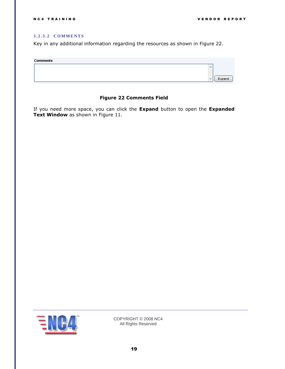#### <span id="page-18-0"></span>**3 . 2 . 3 . 2 C O M M E N T S**

Key in any additional information regarding the resources as shown in [Figure 22.](#page-18-1)

| Comments |        |
|----------|--------|
|          |        |
|          |        |
|          | Expand |
|          |        |

#### **Figure 22 Comments Field**

<span id="page-18-1"></span>If you need more space, you can click the **Expand** button to open the **Expanded Text Window** as shown in [Figure 11.](#page-12-2)

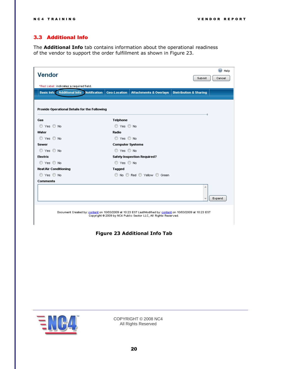#### <span id="page-19-0"></span>3.3 Additional Info

The **Additional Info** tab contains information about the operational readiness of the vendor to support the order fulfillment as shown in [Figure 23.](#page-19-1)

| Vendor                                                                                                      |                         |                                                                 |                                   | ◎<br>Help |  |  |
|-------------------------------------------------------------------------------------------------------------|-------------------------|-----------------------------------------------------------------|-----------------------------------|-----------|--|--|
|                                                                                                             |                         |                                                                 | Submit                            | Cancel    |  |  |
| *Red Label: indicates a required field.                                                                     |                         |                                                                 |                                   |           |  |  |
| <b>Basic Info Additional Info Motification</b>                                                              | <b>Geo-Location</b>     | <b>Attachments &amp; Overlays</b>                               | <b>Distribution &amp; Sharing</b> |           |  |  |
|                                                                                                             |                         |                                                                 |                                   |           |  |  |
| Provide Operational Details for the Following                                                               |                         |                                                                 |                                   |           |  |  |
|                                                                                                             |                         |                                                                 |                                   |           |  |  |
| Gas                                                                                                         | <b>Telphone</b>         |                                                                 |                                   |           |  |  |
| ◎ Yes ◎ No                                                                                                  | ◎ Yes ◎ No              |                                                                 |                                   |           |  |  |
| Water                                                                                                       | Radio                   |                                                                 |                                   |           |  |  |
| ◎ Yes ◎ No                                                                                                  | O Yes O No              |                                                                 |                                   |           |  |  |
| <b>Sewer</b>                                                                                                | <b>Computer Systems</b> |                                                                 |                                   |           |  |  |
| ◎ Yes ◎ No                                                                                                  | ◯ Yes ◯ No              |                                                                 |                                   |           |  |  |
| <b>Electric</b>                                                                                             |                         | <b>Safety Inspection Required?</b>                              |                                   |           |  |  |
| ◎ Yes ◎ No                                                                                                  | O Yes O No              |                                                                 |                                   |           |  |  |
| <b>Heat/Air Conditioning</b>                                                                                | Tagged                  |                                                                 |                                   |           |  |  |
| ◎ Yes ◎ No                                                                                                  |                         | © No © Red © Yellow © Green                                     |                                   |           |  |  |
| <b>Comments</b>                                                                                             |                         |                                                                 |                                   |           |  |  |
|                                                                                                             |                         |                                                                 | ٨                                 |           |  |  |
|                                                                                                             |                         |                                                                 |                                   |           |  |  |
|                                                                                                             |                         |                                                                 |                                   | Expand    |  |  |
|                                                                                                             |                         |                                                                 |                                   |           |  |  |
| Document Created by: content on 10/03/2009 at 10:23 EST LastModified by: content on 10/03/2009 at 10:23 EST |                         |                                                                 |                                   |           |  |  |
|                                                                                                             |                         | Copyright @ 2009 by NC4 Public Sector LLC, All Rights Reserved. |                                   |           |  |  |
|                                                                                                             |                         |                                                                 |                                   |           |  |  |

<span id="page-19-1"></span>**Figure 23 Additional Info Tab**

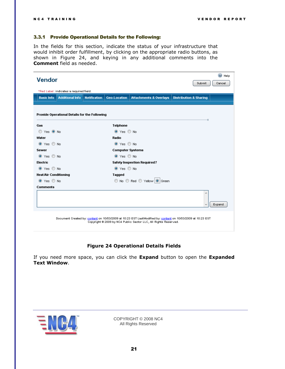#### <span id="page-20-0"></span>3.3.1 Provide Operational Details for the Following:

In the fields for this section, indicate the status of your infrastructure that would inhibit order fulfillment, by clicking on the appropriate radio buttons, as shown in [Figure 24,](#page-20-1) and keying in any additional comments into the **Comment** field as needed.

| <b>Additional Info</b><br><b>Basic Info</b>   | <b>Notification</b> | <b>Geo-Location</b>     | <b>Attachments &amp; Overlays</b>  | <b>Distribution &amp; Sharing</b> |        |
|-----------------------------------------------|---------------------|-------------------------|------------------------------------|-----------------------------------|--------|
| Provide Operational Details for the Following |                     |                         |                                    |                                   |        |
| Gas                                           |                     | <b>Telphone</b>         |                                    |                                   |        |
| O Yes O No                                    |                     | O Yes O No              |                                    |                                   |        |
| Water                                         |                     | Radio                   |                                    |                                   |        |
| ◎ Yes ◎ No                                    |                     | O Yes O No              |                                    |                                   |        |
| <b>Sewer</b>                                  |                     | <b>Computer Systems</b> |                                    |                                   |        |
| $\odot$ Yes $\odot$ No                        |                     | $\odot$ Yes $\odot$ No  |                                    |                                   |        |
| Electric                                      |                     |                         | <b>Safety Inspection Required?</b> |                                   |        |
| $\odot$ Yes $\odot$ No                        |                     | $\odot$ Yes $\odot$ No  |                                    |                                   |        |
| <b>Heat/Air Conditioning</b>                  |                     | Tagged                  |                                    |                                   |        |
| tes ⊙ No                                      |                     |                         | © No © Red © Yellow © Green        |                                   |        |
| <b>Comments</b>                               |                     |                         |                                    |                                   |        |
|                                               |                     |                         |                                    | 杰                                 | Expand |

#### **Figure 24 Operational Details Fields**

<span id="page-20-1"></span>If you need more space, you can click the **Expand** button to open the **Expanded Text Window**.

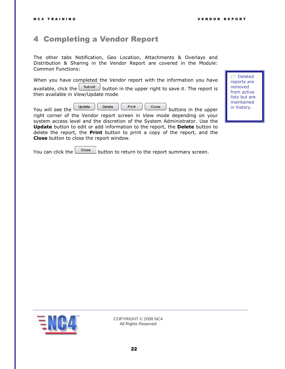### <span id="page-21-0"></span>4 Completing a Vendor Report

The other tabs Notification, Geo Location, Attachments & Overlays and Distribution & Sharing in the Vendor Report are covered in the Module: Common Functions:

When you have completed the Vendor report with the information you have

available, click the  $\Box$  button in the upper right to save it. The report is then available in *View*/Update mode

You will see the  $\begin{bmatrix} \cup_{\text{pdate}} \\ \cup_{\text{delete}} \end{bmatrix}$   $\begin{bmatrix} \text{Print} \\ \text{close} \end{bmatrix}$  buttons in the upper

right corner of the Vendor report screen in *View* mode depending on your system access level and the discretion of the System Administrator. Use the **Update** button to edit or add information to the report, the **Delete** button to delete the report, the **Print** button to print a copy of the report, and the **Close** button to close the report window.

You can click the  $\Box$   $\Box$  button to return to the report summary screen.



COPYRIGHT © 2008 NC4 All Rights Reserved

 Deleted reports are removed from active lists but are maintained in history.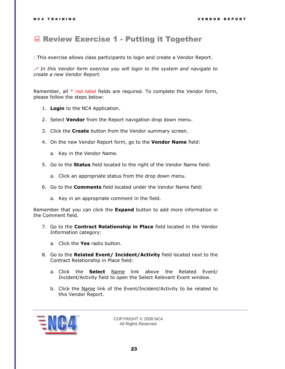### <span id="page-22-0"></span>**Review Exercise 1 - Putting it Together**

This exercise allows class participants to login and create a Vendor Report.

 *In this Vendor form exercise you will login to the system and navigate to create a new Vendor Report.*

Remember, all \* red label fields are required. To complete the Vendor form, please follow the steps below:

- 1. **Login** to the NC4 Application.
- 2. Select **Vendor** from the Report navigation drop down menu.
- 3. Click the **Create** button from the Vendor summary screen.
- 4. On the new Vendor Report form, go to the **Vendor Name** field:
	- a. Key in the Vendor Name.
- 5. Go to the **Status** field located to the right of the Vendor Name field:
	- a. Click an appropriate status from the drop down menu.
- 6. Go to the **Comments** field located under the Vendor Name field:
	- a. Key in an appropriate comment in the field.

Remember that you can click the **Expand** button to add more information in the Comment field.

- 7. Go to the **Contract Relationship in Place** field located in the Vendor Information category:
	- a. Click the **Yes** radio button.
- 8. Go to the **Related Event/ Incident/Activity** field located next to the Contract Relationship in Place field:
	- a. Click the **Select** Name link above the Related Event/ Incident/Activity field to open the Select Relevant Event window.
	- b. Click the Name link of the Event/Incident/Activity to be related to this Vendor Report.